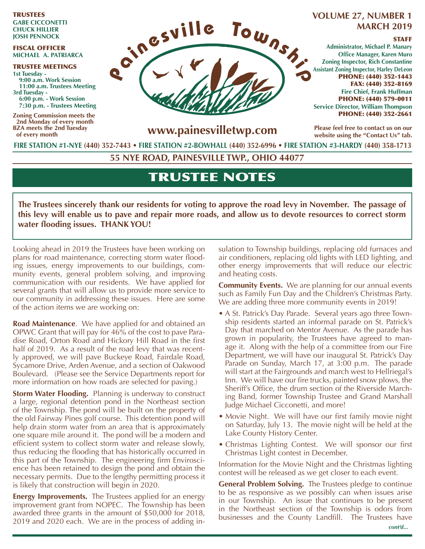TRUSTEES **GABE CICCONETTI CHUCK HILLIER JOSH PENNOCK**

#### FISCAL OFFICER **MICHAEL A. PATRIARCA**

TRUSTEE MEETINGS **1st Tuesday - 9:00 a.m. Work Session 11:00 a.m. Trustees Meeting 3rd Tuesday - 6:00 p.m. - Work Session 7:30 p.m. - Trustees Meeting** 

**Zoning Commission meets the 2nd Monday of every month BZA meets the 2nd Tuesday of every month**



# **MARCH 2019**

#### STAFF

**Administrator, Michael P. Manary Office Manager, Karen Muro Zoning Inspector, Rich Constantine Assistant Zoning Inspector, Harley DeLeon** PHONE: (440) 352-1443 FAX: (440) 352-8169 **Fire Chief, Frank Huffman** PHONE: (440) 579-0011 **Service Director, William Thompson** PHONE: (440) 352-2661

**www.painesvilletwp.com**

**Please feel free to contact us on our website using the "Contact Us" tab.**

**FIRE STATION #1-NYE (440) 352-7443** • **FIRE STATION #2-BOWHALL (440) 352-6996 • FIRE STATION #3-HARDY (440) 358-1713**

**55 NYE ROAD, PAINESVILLE TWP., OHIO 44077**

# TRUSTEE NOTES

**The Trustees sincerely thank our residents for voting to approve the road levy in November. The passage of this levy will enable us to pave and repair more roads, and allow us to devote resources to correct storm water flooding issues. THANK YOU!**

Looking ahead in 2019 the Trustees have been working on plans for road maintenance, correcting storm water flooding issues, energy improvements to our buildings, community events, general problem solving, and improving communication with our residents. We have applied for several grants that will allow us to provide more service to our community in addressing these issues. Here are some of the action items we are working on:

**Road Maintenance**. We have applied for and obtained an OPWC Grant that will pay for 46% of the cost to pave Paradise Road, Orton Road and Hickory Hill Road in the first half of 2019. As a result of the road levy that was recently approved, we will pave Buckeye Road, Fairdale Road, Sycamore Drive, Arden Avenue, and a section of Oakwood Boulevard. (Please see the Service Departments report for more information on how roads are selected for paving.)

**Storm Water Flooding.** Planning is underway to construct a large, regional detention pond in the Northeast section of the Township. The pond will be built on the property of the old Fairway Pines golf course. This detention pond will help drain storm water from an area that is approximately one square mile around it. The pond will be a modern and efficient system to collect storm water and release slowly, thus reducing the flooding that has historically occurred in this part of the Township. The engineering firm Enviroscience has been retained to design the pond and obtain the necessary permits. Due to the lengthy permitting process it is likely that construction will begin in 2020.

**Energy Improvements.** The Trustees applied for an energy improvement grant from NOPEC. The Township has been awarded three grants in the amount of \$50,000 for 2018, 2019 and 2020 each. We are in the process of adding insulation to Township buildings, replacing old furnaces and air conditioners, replacing old lights with LED lighting, and other energy improvements that will reduce our electric and heating costs.

**Community Events.** We are planning for our annual events such as Family Fun Day and the Children's Christmas Party. We are adding three more community events in 2019!

- A St. Patrick's Day Parade. Several years ago three Township residents started an informal parade on St. Patrick's Day that marched on Mentor Avenue. As the parade has grown in popularity, the Trustees have agreed to manage it. Along with the help of a committee from our Fire Department, we will have our inaugural St. Patrick's Day Parade on Sunday, March 17, at 3:00 p.m. The parade will start at the Fairgrounds and march west to Hellriegal's Inn. We will have our fire trucks, painted snow plows, the Sheriff's Office, the drum section of the Riverside Marching Band, former Township Trustee and Grand Marshall Judge Michael Cicconetti, and more!
- Movie Night. We will have our first family movie night on Saturday, July 13. The movie night will be held at the Lake County History Center.
- Christmas Lighting Contest. We will sponsor our first Christmas Light contest in December.

Information for the Movie Night and the Christmas lighting contest will be released as we get closer to each event.

**General Problem Solving.** The Trustees pledge to continue to be as responsive as we possibly can when issues arise in our Township. An issue that continues to be present in the Northeast section of the Township is odors from businesses and the County Landfill. The Trustees have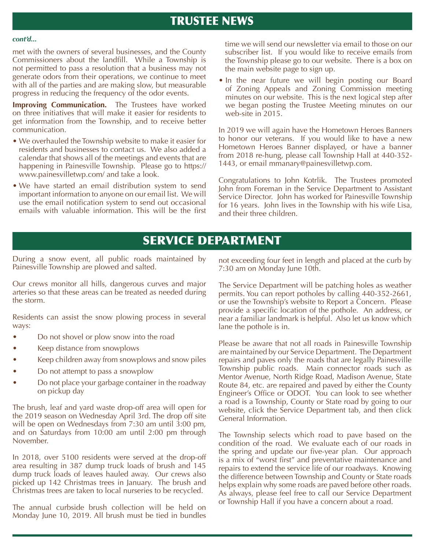# TRUSTEE NEWS

#### *cont'd...*

met with the owners of several businesses, and the County Commissioners about the landfill. While a Township is not permitted to pass a resolution that a business may not generate odors from their operations, we continue to meet with all of the parties and are making slow, but measurable progress in reducing the frequency of the odor events.

**Improving Communication.** The Trustees have worked on three initiatives that will make it easier for residents to get information from the Township, and to receive better communication.

- We overhauled the Township website to make it easier for residents and businesses to contact us. We also added a calendar that shows all of the meetings and events that are happening in Painesville Township. Please go to https:// www.painesvilletwp.com/ and take a look.
- We have started an email distribution system to send important information to anyone on our email list. We will use the email notification system to send out occasional emails with valuable information. This will be the first

time we will send our newsletter via email to those on our subscriber list. If you would like to receive emails from the Township please go to our website. There is a box on the main website page to sign up.

• In the near future we will begin posting our Board of Zoning Appeals and Zoning Commission meeting minutes on our website. This is the next logical step after we began posting the Trustee Meeting minutes on our web-site in 2015.

In 2019 we will again have the Hometown Heroes Banners to honor our veterans. If you would like to have a new Hometown Heroes Banner displayed, or have a banner from 2018 re-hung, please call Township Hall at 440-352- 1443, or email mmanary@painesvilletwp.com.

Congratulations to John Kotrlik. The Trustees promoted John from Foreman in the Service Department to Assistant Service Director. John has worked for Painesville Township for 16 years. John lives in the Township with his wife Lisa, and their three children.

# SERVICE DEPARTMENT

During a snow event, all public roads maintained by Painesville Township are plowed and salted.

Our crews monitor all hills, dangerous curves and major arteries so that these areas can be treated as needed during the storm.

Residents can assist the snow plowing process in several ways:

- Do not shovel or plow snow into the road
- Keep distance from snowplows
- Keep children away from snowplows and snow piles
- Do not attempt to pass a snowplow
- Do not place your garbage container in the roadway on pickup day

The brush, leaf and yard waste drop-off area will open for the 2019 season on Wednesday April 3rd. The drop off site will be open on Wednesdays from 7:30 am until 3:00 pm, and on Saturdays from 10:00 am until 2:00 pm through November.

In 2018, over 5100 residents were served at the drop-off area resulting in 387 dump truck loads of brush and 145 dump truck loads of leaves hauled away. Our crews also picked up 142 Christmas trees in January. The brush and Christmas trees are taken to local nurseries to be recycled.

The annual curbside brush collection will be held on Monday June 10, 2019. All brush must be tied in bundles

not exceeding four feet in length and placed at the curb by 7:30 am on Monday June 10th.

The Service Department will be patching holes as weather permits. You can report potholes by calling 440-352-2661, or use the Township's website to Report a Concern. Please provide a specific location of the pothole. An address, or near a familiar landmark is helpful. Also let us know which lane the pothole is in.

Please be aware that not all roads in Painesville Township are maintained by our Service Department. The Department repairs and paves only the roads that are legally Painesville Township public roads. Main connector roads such as Mentor Avenue, North Ridge Road, Madison Avenue, State Route 84, etc. are repaired and paved by either the County Engineer's Office or ODOT. You can look to see whether a road is a Township, County or State road by going to our website, click the Service Department tab, and then click General Information.

The Township selects which road to pave based on the condition of the road. We evaluate each of our roads in the spring and update our five-year plan. Our approach is a mix of "worst first" and preventative maintenance and repairs to extend the service life of our roadways. Knowing the difference between Township and County or State roads helps explain why some roads are paved before other roads. As always, please feel free to call our Service Department or Township Hall if you have a concern about a road.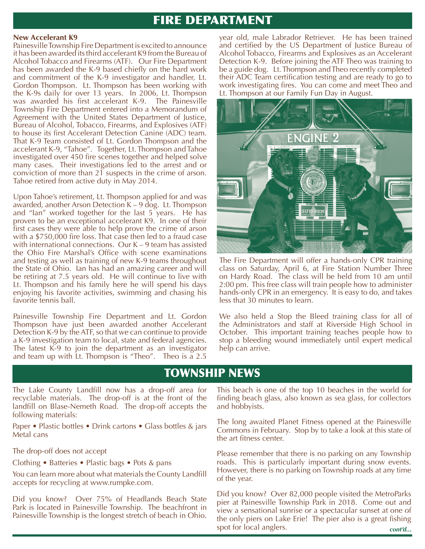# FIRE DEPARTMENT

#### **New Accelerant K9**

Painesville Township Fire Department is excited to announce it has been awarded its third accelerant K9 from the Bureau of Alcohol Tobacco and Firearms (ATF). Our Fire Department has been awarded the K-9 based chiefly on the hard work and commitment of the K-9 investigator and handler, Lt. Gordon Thompson. Lt. Thompson has been working with the K-9s daily for over 13 years. In 2006, Lt. Thompson was awarded his first accelerant K-9. The Painesville Township Fire Department entered into a Memorandum of Agreement with the United States Department of Justice, Bureau of Alcohol, Tobacco, Firearms, and Explosives (ATF) to house its first Accelerant Detection Canine (ADC) team. That K-9 Team consisted of Lt. Gordon Thompson and the accelerant K-9, "Tahoe". Together, Lt. Thompson and Tahoe investigated over 450 fire scenes together and helped solve many cases. Their investigations led to the arrest and or conviction of more than 21 suspects in the crime of arson. Tahoe retired from active duty in May 2014.

Upon Tahoe's retirement, Lt. Thompson applied for and was awarded, another Arson Detection K – 9 dog. Lt. Thompson and "Ian" worked together for the last 5 years. He has proven to be an exceptional accelerant K9. In one of their first cases they were able to help prove the crime of arson with a \$750,000 fire loss. That case then led to a fraud case with international connections. Our K – 9 team has assisted the Ohio Fire Marshal's Office with scene examinations and testing as well as training of new K-9 teams throughout the State of Ohio. Ian has had an amazing career and will be retiring at 7.5 years old. He will continue to live with Lt. Thompson and his family here he will spend his days enjoying his favorite activities, swimming and chasing his favorite tennis ball.

Painesville Township Fire Department and Lt. Gordon Thompson have just been awarded another Accelerant Detection K-9 by the ATF, so that we can continue to provide a K-9 investigation team to local, state and federal agencies. The latest K-9 to join the department as an investigator and team up with Lt. Thompson is "Theo". Theo is a 2.5

year old, male Labrador Retriever. He has been trained and certified by the US Department of Justice Bureau of Alcohol Tobacco, Firearms and Explosives as an Accelerant Detection K-9. Before joining the ATF Theo was training to be a guide dog. Lt. Thompson and Theo recently completed their ADC Team certification testing and are ready to go to work investigating fires. You can come and meet Theo and Lt. Thompson at our Family Fun Day in August.



The Fire Department will offer a hands-only CPR training class on Saturday, April 6, at Fire Station Number Three on Hardy Road. The class will be held from 10 am until 2:00 pm. This free class will train people how to administer hands-only CPR in an emergency. It is easy to do, and takes less that 30 minutes to learn.

We also held a Stop the Bleed training class for all of the Administrators and staff at Riverside High School in October. This important training teaches people how to stop a bleeding wound immediately until expert medical help can arrive.

# TOWNSHIP NEWS

The Lake County Landfill now has a drop-off area for recyclable materials. The drop-off is at the front of the landfill on Blase-Nemeth Road. The drop-off accepts the following materials:

Paper • Plastic bottles • Drink cartons • Glass bottles & jars Metal cans

The drop-off does not accept

Clothing • Batteries • Plastic bags • Pots & pans

You can learn more about what materials the County Landfill accepts for recycling at www.rumpke.com.

Did you know? Over 75% of Headlands Beach State Park is located in Painesville Township. The beachfront in Painesville Township is the longest stretch of beach in Ohio.

This beach is one of the top 10 beaches in the world for finding beach glass, also known as sea glass, for collectors and hobbyists.

The long awaited Planet Fitness opened at the Painesville Commons in February. Stop by to take a look at this state of the art fitness center.

Please remember that there is no parking on any Township roads. This is particularly important during snow events. However, there is no parking on Township roads at any time of the year.

*cont'd...* Did you know? Over 82,000 people visited the MetroParks pier at Painesville Township Park in 2018. Come out and view a sensational sunrise or a spectacular sunset at one of the only piers on Lake Erie! The pier also is a great fishing spot for local anglers.